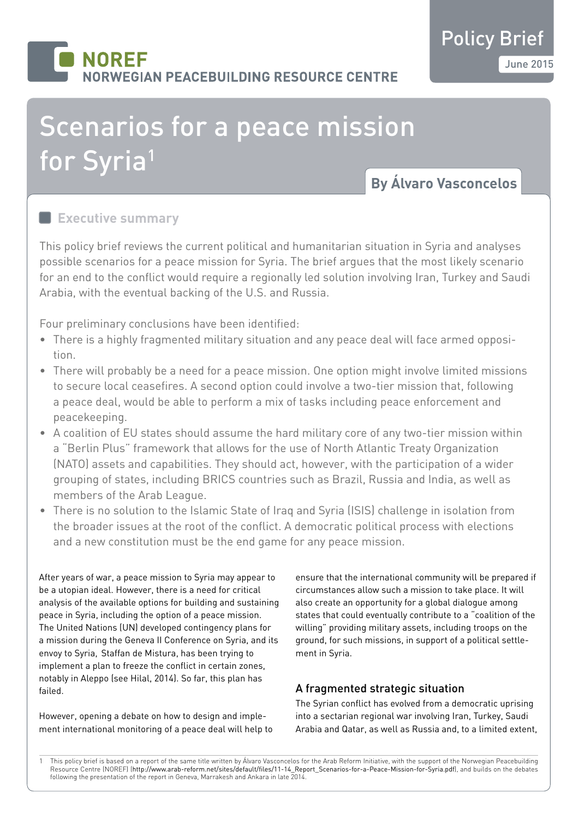# **NORFF WEGIAN PEACEBUILDING RESOURCE CENTRE**

# Scenarios for a peace mission for Syria<sup>1</sup>

**By Álvaro Vasconcelos**

# **Executive summary**

This policy brief reviews the current political and humanitarian situation in Syria and analyses possible scenarios for a peace mission for Syria. The brief argues that the most likely scenario for an end to the conflict would require a regionally led solution involving Iran, Turkey and Saudi Arabia, with the eventual backing of the U.S. and Russia.

Four preliminary conclusions have been identified:

- There is a highly fragmented military situation and any peace deal will face armed opposition.
- There will probably be a need for a peace mission. One option might involve limited missions to secure local ceasefires. A second option could involve a two-tier mission that, following a peace deal, would be able to perform a mix of tasks including peace enforcement and peacekeeping.
- A coalition of EU states should assume the hard military core of any two-tier mission within a "Berlin Plus" framework that allows for the use of North Atlantic Treaty Organization (NATO) assets and capabilities. They should act, however, with the participation of a wider grouping of states, including BRICS countries such as Brazil, Russia and India, as well as members of the Arab League.
- There is no solution to the Islamic State of Iraq and Syria (ISIS) challenge in isolation from the broader issues at the root of the conflict. A democratic political process with elections and a new constitution must be the end game for any peace mission.

After years of war, a peace mission to Syria may appear to be a utopian ideal. However, there is a need for critical analysis of the available options for building and sustaining peace in Syria, including the option of a peace mission. The United Nations (UN) developed contingency plans for a mission during the Geneva II Conference on Syria, and its envoy to Syria, Staffan de Mistura, has been trying to implement a plan to freeze the conflict in certain zones, notably in Aleppo (see Hilal, 2014). So far, this plan has failed.

However, opening a debate on how to design and implement international monitoring of a peace deal will help to ensure that the international community will be prepared if circumstances allow such a mission to take place. It will also create an opportunity for a global dialogue among states that could eventually contribute to a "coalition of the willing" providing military assets, including troops on the ground, for such missions, in support of a political settlement in Syria.

# A fragmented strategic situation

The Syrian conflict has evolved from a democratic uprising into a sectarian regional war involving Iran, Turkey, Saudi Arabia and Qatar, as well as Russia and, to a limited extent,

This policy brief is based on a report of the same title written by Álvaro Vasconcelos for the Arab Reform Initiative, with the support of the Norwegian Peacebuilding Resource Centre (NOREF) ([http://www.arab-reform.net/sites/default/files/11-14\\_Report\\_Scenarios-for-a-Peace-Mission-for-Syria.pdf](http://www.arab-reform.net/sites/default/files/11-14_Report_Scenarios-for-a-Peace-Mission-for-Syria.pdf)), and builds on the debates following the presentation of the report in Geneva, Marrakesh and Ankara in late 2014.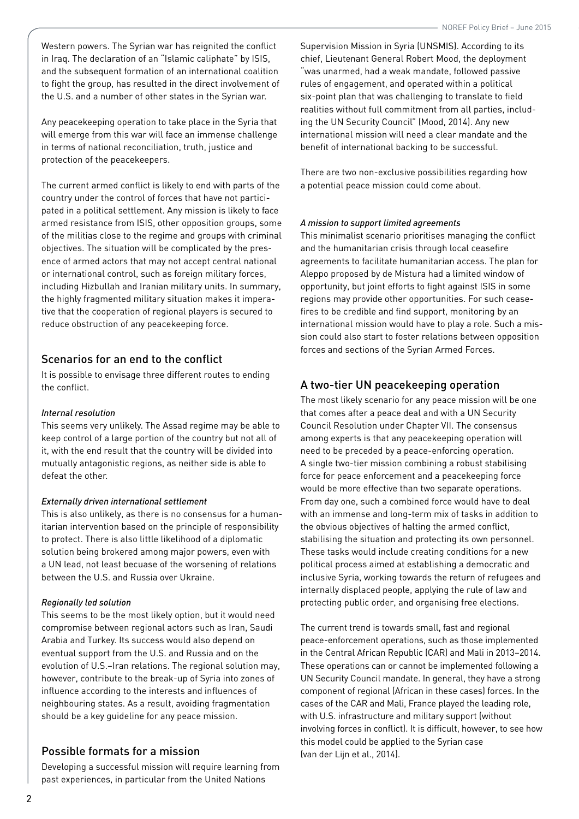Western powers. The Syrian war has reignited the conflict in Iraq. The declaration of an "Islamic caliphate" by ISIS, and the subsequent formation of an international coalition to fight the group, has resulted in the direct involvement of the U.S. and a number of other states in the Syrian war.

Any peacekeeping operation to take place in the Syria that will emerge from this war will face an immense challenge in terms of national reconciliation, truth, justice and protection of the peacekeepers.

The current armed conflict is likely to end with parts of the country under the control of forces that have not participated in a political settlement. Any mission is likely to face armed resistance from ISIS, other opposition groups, some of the militias close to the regime and groups with criminal objectives. The situation will be complicated by the presence of armed actors that may not accept central national or international control, such as foreign military forces, including Hizbullah and Iranian military units. In summary, the highly fragmented military situation makes it imperative that the cooperation of regional players is secured to reduce obstruction of any peacekeeping force.

#### Scenarios for an end to the conflict

It is possible to envisage three different routes to ending the conflict.

#### *Internal resolution*

This seems very unlikely. The Assad regime may be able to keep control of a large portion of the country but not all of it, with the end result that the country will be divided into mutually antagonistic regions, as neither side is able to defeat the other.

#### *Externally driven international settlement*

This is also unlikely, as there is no consensus for a humanitarian intervention based on the principle of responsibility to protect. There is also little likelihood of a diplomatic solution being brokered among major powers, even with a UN lead, not least becuase of the worsening of relations between the U.S. and Russia over Ukraine.

#### *Regionally led solution*

This seems to be the most likely option, but it would need compromise between regional actors such as Iran, Saudi Arabia and Turkey. Its success would also depend on eventual support from the U.S. and Russia and on the evolution of U.S.–Iran relations. The regional solution may, however, contribute to the break-up of Syria into zones of influence according to the interests and influences of neighbouring states. As a result, avoiding fragmentation should be a key guideline for any peace mission.

#### Possible formats for a mission

Developing a successful mission will require learning from past experiences, in particular from the United Nations

Supervision Mission in Syria (UNSMIS). According to its chief, Lieutenant General Robert Mood, the deployment "was unarmed, had a weak mandate, followed passive rules of engagement, and operated within a political six-point plan that was challenging to translate to field realities without full commitment from all parties, including the UN Security Council" (Mood, 2014). Any new international mission will need a clear mandate and the benefit of international backing to be successful.

There are two non-exclusive possibilities regarding how a potential peace mission could come about.

#### *A mission to support limited agreements*

This minimalist scenario prioritises managing the conflict and the humanitarian crisis through local ceasefire agreements to facilitate humanitarian access. The plan for Aleppo proposed by de Mistura had a limited window of opportunity, but joint efforts to fight against ISIS in some regions may provide other opportunities. For such ceasefires to be credible and find support, monitoring by an international mission would have to play a role. Such a mission could also start to foster relations between opposition forces and sections of the Syrian Armed Forces.

#### A two-tier UN peacekeeping operation

The most likely scenario for any peace mission will be one that comes after a peace deal and with a UN Security Council Resolution under Chapter VII. The consensus among experts is that any peacekeeping operation will need to be preceded by a peace-enforcing operation. A single two-tier mission combining a robust stabilising force for peace enforcement and a peacekeeping force would be more effective than two separate operations. From day one, such a combined force would have to deal with an immense and long-term mix of tasks in addition to the obvious objectives of halting the armed conflict, stabilising the situation and protecting its own personnel. These tasks would include creating conditions for a new political process aimed at establishing a democratic and inclusive Syria, working towards the return of refugees and internally displaced people, applying the rule of law and protecting public order, and organising free elections.

The current trend is towards small, fast and regional peace-enforcement operations, such as those implemented in the Central African Republic (CAR) and Mali in 2013–2014. These operations can or cannot be implemented following a UN Security Council mandate. In general, they have a strong component of regional (African in these cases) forces. In the cases of the CAR and Mali, France played the leading role, with U.S. infrastructure and military support (without involving forces in conflict). It is difficult, however, to see how this model could be applied to the Syrian case (van der Lijn et al., 2014).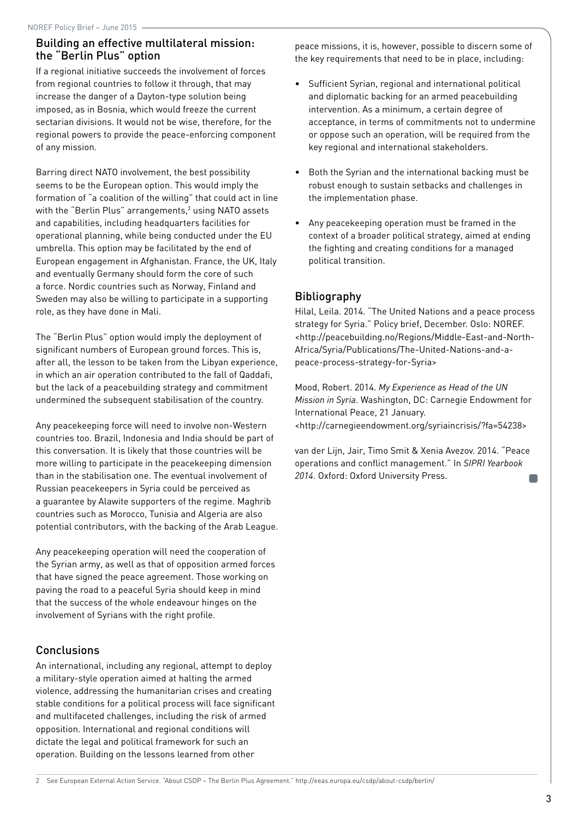## Building an effective multilateral mission: the "Berlin Plus" option

If a regional initiative succeeds the involvement of forces from regional countries to follow it through, that may increase the danger of a Dayton-type solution being imposed, as in Bosnia, which would freeze the current sectarian divisions. It would not be wise, therefore, for the regional powers to provide the peace-enforcing component of any mission.

Barring direct NATO involvement, the best possibility seems to be the European option. This would imply the formation of "a coalition of the willing" that could act in line with the "Berlin Plus" arrangements,<sup>2</sup> using NATO assets and capabilities, including headquarters facilities for operational planning, while being conducted under the EU umbrella. This option may be facilitated by the end of European engagement in Afghanistan. France, the UK, Italy and eventually Germany should form the core of such a force. Nordic countries such as Norway, Finland and Sweden may also be willing to participate in a supporting role, as they have done in Mali.

The "Berlin Plus" option would imply the deployment of significant numbers of European ground forces. This is, after all, the lesson to be taken from the Libyan experience, in which an air operation contributed to the fall of Qaddafi, but the lack of a peacebuilding strategy and commitment undermined the subsequent stabilisation of the country.

Any peacekeeping force will need to involve non-Western countries too. Brazil, Indonesia and India should be part of this conversation. It is likely that those countries will be more willing to participate in the peacekeeping dimension than in the stabilisation one. The eventual involvement of Russian peacekeepers in Syria could be perceived as a guarantee by Alawite supporters of the regime. Maghrib countries such as Morocco, Tunisia and Algeria are also potential contributors, with the backing of the Arab League.

Any peacekeeping operation will need the cooperation of the Syrian army, as well as that of opposition armed forces that have signed the peace agreement. Those working on paving the road to a peaceful Syria should keep in mind that the success of the whole endeavour hinges on the involvement of Syrians with the right profile.

# Conclusions

An international, including any regional, attempt to deploy a military-style operation aimed at halting the armed violence, addressing the humanitarian crises and creating stable conditions for a political process will face significant and multifaceted challenges, including the risk of armed opposition. International and regional conditions will dictate the legal and political framework for such an operation. Building on the lessons learned from other

peace missions, it is, however, possible to discern some of the key requirements that need to be in place, including:

- Sufficient Syrian, regional and international political and diplomatic backing for an armed peacebuilding intervention. As a minimum, a certain degree of acceptance, in terms of commitments not to undermine or oppose such an operation, will be required from the key regional and international stakeholders.
- Both the Syrian and the international backing must be robust enough to sustain setbacks and challenges in the implementation phase.
- Any peacekeeping operation must be framed in the context of a broader political strategy, aimed at ending the fighting and creating conditions for a managed political transition.

### Bibliography

Hilal, Leila. 2014. "The United Nations and a peace process strategy for Syria." Policy brief, December. Oslo: NOREF. [<http://peacebuilding.no/Regions/Middle-East-and-North-](http://peacebuilding.no/Regions/Middle-East-and-North-Africa/Syria/Publications/The-United-Nations-and-a-peace-process-strategy-for-Syria)[Africa/Syria/Publications/The-United-Nations-and-a](http://peacebuilding.no/Regions/Middle-East-and-North-Africa/Syria/Publications/The-United-Nations-and-a-peace-process-strategy-for-Syria)[peace-process-strategy-for-Syria](http://peacebuilding.no/Regions/Middle-East-and-North-Africa/Syria/Publications/The-United-Nations-and-a-peace-process-strategy-for-Syria)>

Mood, Robert. 2014. *My Experience as Head of the UN Mission in Syria*. Washington, DC: Carnegie Endowment for International Peace, 21 January. [<http://carnegieendowment.org/syriaincrisis/?fa=54238>](http://carnegieendowment.org/syriaincrisis/?fa=54238)

van der Lijn, Jair, Timo Smit & Xenia Avezov. 2014. "Peace operations and conflict management." In *SIPRI Yearbook 2014*. Oxford: Oxford University Press. n.

2 See European External Action Service. "About CSDP – The Berlin Plus Agreement."<http://eeas.europa.eu/csdp/about-csdp/berlin/>